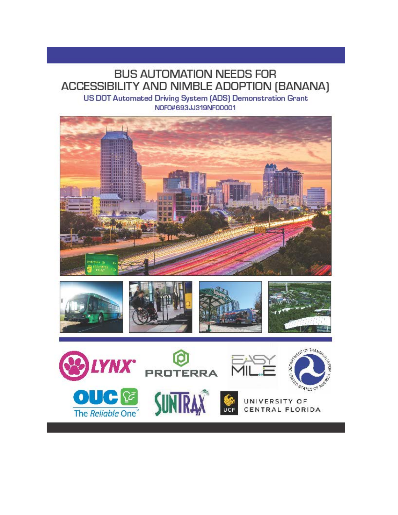# BUS AUTOMATION NEEDS FOR ACCESSIBILITY AND NIMBLE ADOPTION (BANANA)

US DOT Automated Driving System [ADS] Demonstration Grant NOFO#693JJ319NF00001





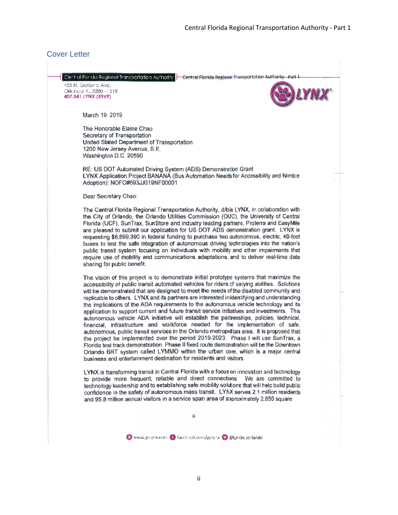#### <span id="page-1-0"></span>Cover Letter

- Central Ronda Regional Transportation Authority | Central Florida Regional Transportation Authority - Part 1

455 N. Garland Ave. Oilenco, F. 3280 - 1518 407.841.LYNX (5969)



March 19, 2019

The Honorable Elaine Chao Secretary of Transportation United Stated Department of Transportation 1200 New Jersey Avenue, S.E. Washington D.C. 20590

RE: US DOT Automated Driving System (ADS) Demonstration Grant LYNX Application Project BANANA (Bus Automation Needs for Accessibility and Nimble Adoption): NOFO#693JJ319NF00001

Dear Secretary Chao:

The Central Florida Regional Transportation Authority, d/b/a LYNX, in collaboration with the City of Orlando, the Orlando Utilities Commission (OUC), the University of Central Florida (UCF), SunTrax, SunStore and industry leading parlners, Proterra and EasyMile are pleased to submit our application for US DOT ADS demonstration grant. LYNX is requesting \$8,699,390 in federal funding to purchase two autonomous, electric, 40-foot buses to test the safe integration of autonomous driving technologies into the nation's public transit system focusing on individuals with mobility and other impairments that require use of mobility and communications adaptations, and to deliver real-time data sharing for public benefit.

The vision of this project is to demonstrate initial prototype systems that maximize the accessibility of public transit automated vehicles for riders of varying abilities. Solutions will be demonstrated that are designed to meet the needs of the disabled community and replicable to others. LYNX and its partners are interested inidentifying and understanding the implications of the ADA requirements to the autonomous vehicle technology and its application to support current and future transit service initiatives and investments. This autonomous vehicle ADA initiative will establish the partnerships, policies, technical, financial, infrastructure and workforce needed for the implementation of safe, autonomous, public transit services in the Orlando metropoltan area. It is proposed that the project be implemented over the period 2019-2023. Phase I will use SunTrax, a Florida test track demonstration. Phase II fixed route demonstration will be the Downtown Orlando BRT system called LYMMO within the urban core, which is a major central business and entertainment destination for residents and visitors.

LYNX is transforming transit in Central Florida with a focus on innovation and technology to provide more frequent, reliable and direct connections. We are committed to technology leadership and to establishing safe mobility solutions that will help build public confidence in the safety of autonomous mass transit. LYNX serves 2.1 million residents and 95.8 million annual visitors in a service span area of approximately 2,850 square

Www.go.ynx.com @ facebook.com/golynx @ @lynxbuscrlande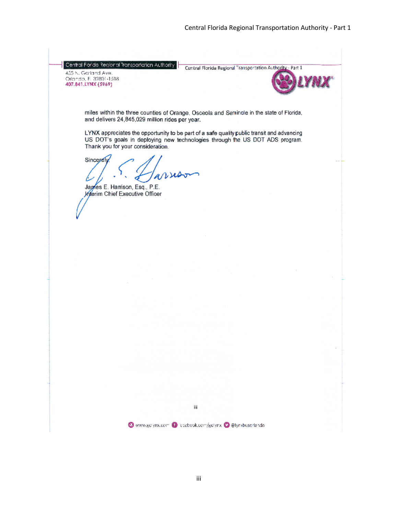<span id="page-2-0"></span>Central Forida Regional Transportation Authority 455 N. Garland Ave.

-00 N. Schmanner<br>Orlando, FL 32801-1518<br>407.841.LYNX (5969)

Central Florida Regional Transportation Authority - Part 1



miles within the three counties of Orange, Osceola and Seminole in the state of Florida, and delivers 24,845,029 million rides per year.

LYNX appreciates the opportunity to be part of a safe quality public transit and advancing US DOT's goals in deploying new technologies through the US DOT ADS program. Thank you for your consideration.

Sincerely L

James E. Harrison, Esq., P.E. Interim Chief Executive Officer

iii

Www.gdiynx.com @ iccebook.com/gdiynx @@lynxbuserlando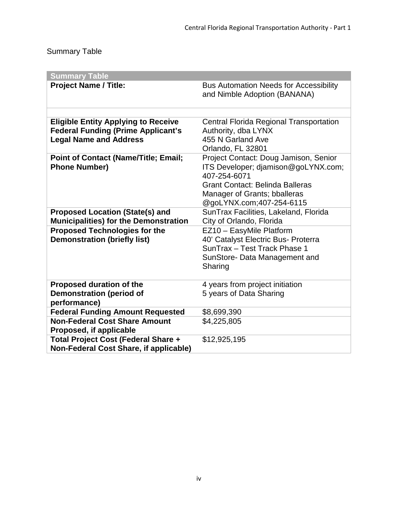## Summary Table

| <b>Summary Table</b>                                                                                                     |                                                                                                                                                                                                    |  |
|--------------------------------------------------------------------------------------------------------------------------|----------------------------------------------------------------------------------------------------------------------------------------------------------------------------------------------------|--|
| <b>Project Name / Title:</b>                                                                                             | <b>Bus Automation Needs for Accessibility</b><br>and Nimble Adoption (BANANA)                                                                                                                      |  |
|                                                                                                                          |                                                                                                                                                                                                    |  |
| <b>Eligible Entity Applying to Receive</b><br><b>Federal Funding (Prime Applicant's</b><br><b>Legal Name and Address</b> | <b>Central Florida Regional Transportation</b><br>Authority, dba LYNX<br>455 N Garland Ave<br>Orlando, FL 32801                                                                                    |  |
| <b>Point of Contact (Name/Title; Email;</b><br><b>Phone Number)</b>                                                      | Project Contact: Doug Jamison, Senior<br>ITS Developer; djamison@goLYNX.com;<br>407-254-6071<br><b>Grant Contact: Belinda Balleras</b><br>Manager of Grants; bballeras<br>@goLYNX.com;407-254-6115 |  |
| <b>Proposed Location (State(s) and</b><br><b>Municipalities) for the Demonstration</b>                                   | SunTrax Facilities, Lakeland, Florida<br>City of Orlando, Florida                                                                                                                                  |  |
| <b>Proposed Technologies for the</b><br><b>Demonstration (briefly list)</b>                                              | EZ10 - EasyMile Platform<br>40' Catalyst Electric Bus- Proterra<br>SunTrax - Test Track Phase 1<br>SunStore- Data Management and<br>Sharing                                                        |  |
| <b>Proposed duration of the</b><br><b>Demonstration (period of</b><br>performance)                                       | 4 years from project initiation<br>5 years of Data Sharing                                                                                                                                         |  |
| <b>Federal Funding Amount Requested</b>                                                                                  | \$8,699,390                                                                                                                                                                                        |  |
| <b>Non-Federal Cost Share Amount</b><br>Proposed, if applicable                                                          | \$4,225,805                                                                                                                                                                                        |  |
| Total Project Cost (Federal Share +<br>Non-Federal Cost Share, if applicable)                                            | \$12,925,195                                                                                                                                                                                       |  |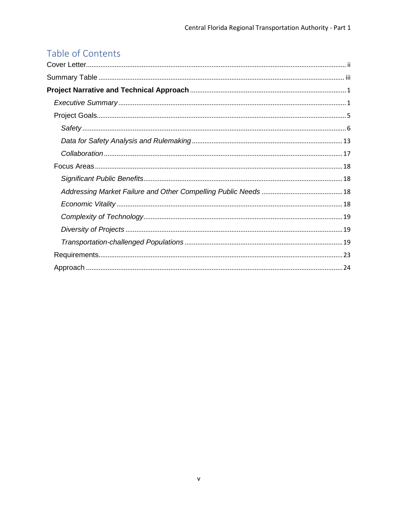## Table of Contents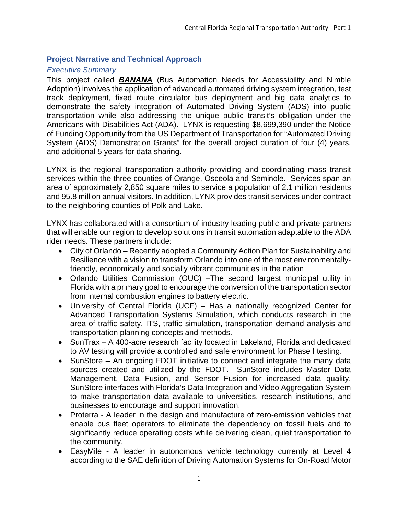## <span id="page-5-0"></span>**Project Narrative and Technical Approach**

## <span id="page-5-1"></span>*Executive Summary*

This project called *BANANA* (Bus Automation Needs for Accessibility and Nimble Adoption) involves the application of advanced automated driving system integration, test track deployment, fixed route circulator bus deployment and big data analytics to demonstrate the safety integration of Automated Driving System (ADS) into public transportation while also addressing the unique public transit's obligation under the Americans with Disabilities Act (ADA). LYNX is requesting \$8,699,390 under the Notice of Funding Opportunity from the US Department of Transportation for "Automated Driving System (ADS) Demonstration Grants" for the overall project duration of four (4) years, and additional 5 years for data sharing.

LYNX is the regional transportation authority providing and coordinating mass transit services within the three counties of Orange, Osceola and Seminole. Services span an area of approximately 2,850 square miles to service a population of 2.1 million residents and 95.8 million annual visitors. In addition, LYNX provides transit services under contract to the neighboring counties of Polk and Lake.

LYNX has collaborated with a consortium of industry leading public and private partners that will enable our region to develop solutions in transit automation adaptable to the ADA rider needs. These partners include:

- City of Orlando Recently adopted a Community Action Plan for Sustainability and Resilience with a vision to transform Orlando into one of the most environmentallyfriendly, economically and socially vibrant communities in the nation
- Orlando Utilities Commission (OUC) –The second largest municipal utility in Florida with a primary goal to encourage the conversion of the transportation sector from internal combustion engines to battery electric.
- University of Central Florida (UCF) Has a nationally recognized Center for Advanced Transportation Systems Simulation, which conducts research in the area of traffic safety, ITS, traffic simulation, transportation demand analysis and transportation planning concepts and methods.
- SunTrax A 400-acre research facility located in Lakeland, Florida and dedicated to AV testing will provide a controlled and safe environment for Phase I testing.
- SunStore An ongoing FDOT initiative to connect and integrate the many data sources created and utilized by the FDOT. SunStore includes Master Data Management, Data Fusion, and Sensor Fusion for increased data quality. SunStore interfaces with Florida's Data Integration and Video Aggregation System to make transportation data available to universities, research institutions, and businesses to encourage and support innovation.
- Proterra A leader in the design and manufacture of zero-emission vehicles that enable bus fleet operators to eliminate the dependency on fossil fuels and to significantly reduce operating costs while delivering clean, quiet transportation to the community.
- EasyMile A leader in autonomous vehicle technology currently at Level 4 according to the SAE definition of Driving Automation Systems for On-Road Motor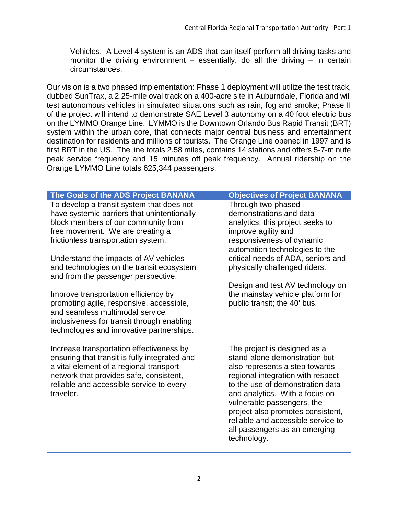Vehicles. A Level 4 system is an ADS that can itself perform all driving tasks and monitor the driving environment  $-$  essentially, do all the driving  $-$  in certain circumstances.

Our vision is a two phased implementation: Phase 1 deployment will utilize the test track, dubbed SunTrax, a 2.25-mile oval track on a 400-acre site in Auburndale, Florida and will test autonomous vehicles in simulated situations such as rain, fog and smoke; Phase II of the project will intend to demonstrate SAE Level 3 autonomy on a 40 foot electric bus on the LYMMO Orange Line. LYMMO is the Downtown Orlando Bus Rapid Transit (BRT) system within the urban core, that connects major central business and entertainment destination for residents and millions of tourists. The Orange Line opened in 1997 and is first BRT in the US. The line totals 2.58 miles, contains 14 stations and offers 5-7-minute peak service frequency and 15 minutes off peak frequency. Annual ridership on the Orange LYMMO Line totals 625,344 passengers.

| The Goals of the ADS Project BANANA                                         | <b>Objectives of Project BANANA</b>                                |
|-----------------------------------------------------------------------------|--------------------------------------------------------------------|
| To develop a transit system that does not                                   | Through two-phased                                                 |
| have systemic barriers that unintentionally                                 | demonstrations and data                                            |
| block members of our community from<br>free movement. We are creating a     | analytics, this project seeks to<br>improve agility and            |
| frictionless transportation system.                                         | responsiveness of dynamic                                          |
|                                                                             | automation technologies to the                                     |
| Understand the impacts of AV vehicles                                       | critical needs of ADA, seniors and                                 |
| and technologies on the transit ecosystem                                   | physically challenged riders.                                      |
| and from the passenger perspective.                                         |                                                                    |
|                                                                             | Design and test AV technology on                                   |
| Improve transportation efficiency by                                        | the mainstay vehicle platform for                                  |
| promoting agile, responsive, accessible,<br>and seamless multimodal service | public transit; the 40' bus.                                       |
| inclusiveness for transit through enabling                                  |                                                                    |
| technologies and innovative partnerships.                                   |                                                                    |
|                                                                             |                                                                    |
| Increase transportation effectiveness by                                    | The project is designed as a                                       |
| ensuring that transit is fully integrated and                               | stand-alone demonstration but                                      |
| a vital element of a regional transport                                     | also represents a step towards                                     |
| network that provides safe, consistent,                                     | regional integration with respect                                  |
| reliable and accessible service to every<br>traveler.                       | to the use of demonstration data<br>and analytics. With a focus on |
|                                                                             | vulnerable passengers, the                                         |
|                                                                             | project also promotes consistent,                                  |
|                                                                             | reliable and accessible service to                                 |
|                                                                             | all passengers as an emerging                                      |
|                                                                             | technology.                                                        |
|                                                                             |                                                                    |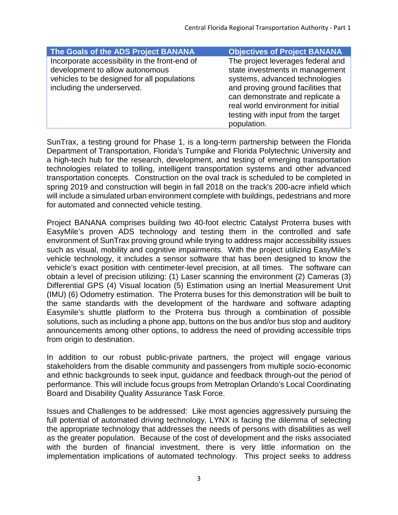| The Goals of the ADS Project BANANA                                                                                                                           | <b>Objectives of Project BANANA</b>                                                                                                                                                                                                                         |
|---------------------------------------------------------------------------------------------------------------------------------------------------------------|-------------------------------------------------------------------------------------------------------------------------------------------------------------------------------------------------------------------------------------------------------------|
| Incorporate accessibility in the front-end of<br>development to allow autonomous<br>vehicles to be designed for all populations<br>including the underserved. | The project leverages federal and<br>state investments in management<br>systems, advanced technologies<br>and proving ground facilities that<br>can demonstrate and replicate a<br>real world environment for initial<br>testing with input from the target |
|                                                                                                                                                               | population.                                                                                                                                                                                                                                                 |

SunTrax, a testing ground for Phase 1, is a long-term partnership between the Florida Department of Transportation, Florida's Turnpike and Florida Polytechnic University and a high-tech hub for the research, development, and testing of emerging transportation technologies related to tolling, intelligent transportation systems and other advanced transportation concepts. Construction on the oval track is scheduled to be completed in spring 2019 and construction will begin in fall 2018 on the track's 200-acre infield which will include a simulated urban environment complete with buildings, pedestrians and more for automated and connected vehicle testing.

Project BANANA comprises building two 40-foot electric Catalyst Proterra buses with EasyMile's proven ADS technology and testing them in the controlled and safe environment of SunTrax proving ground while trying to address major accessibility issues such as visual, mobility and cognitive impairments. With the project utilizing EasyMile's vehicle technology, it includes a sensor software that has been designed to know the vehicle's exact position with centimeter-level precision, at all times. The software can obtain a level of precision utilizing: (1) Laser scanning the environment (2) Cameras (3) Differential GPS (4) Visual location (5) Estimation using an Inertial Measurement Unit (IMU) (6) Odometry estimation. The Proterra buses for this demonstration will be built to the same standards with the development of the hardware and software adapting Easymile's shuttle platform to the Proterra bus through a combination of possible solutions, such as including a phone app, buttons on the bus and/or bus stop and auditory announcements among other options, to address the need of providing accessible trips from origin to destination.

In addition to our robust public-private partners, the project will engage various stakeholders from the disable community and passengers from multiple socio-economic and ethnic backgrounds to seek input, guidance and feedback through-out the period of performance. This will include focus groups from Metroplan Orlando's Local Coordinating Board and Disability Quality Assurance Task Force.

Issues and Challenges to be addressed: Like most agencies aggressively pursuing the full potential of automated driving technology, LYNX is facing the dilemma of selecting the appropriate technology that addresses the needs of persons with disabilities as well as the greater population. Because of the cost of development and the risks associated with the burden of financial investment, there is very little information on the implementation implications of automated technology. This project seeks to address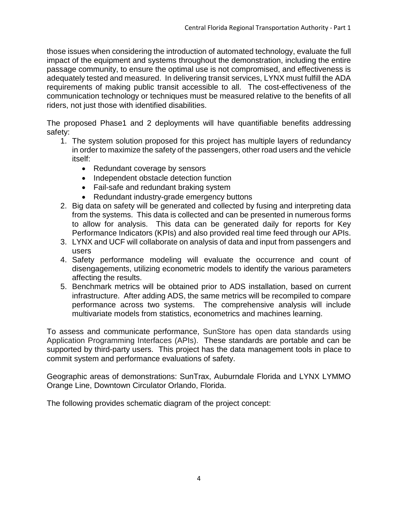those issues when considering the introduction of automated technology, evaluate the full impact of the equipment and systems throughout the demonstration, including the entire passage community, to ensure the optimal use is not compromised, and effectiveness is adequately tested and measured. In delivering transit services, LYNX must fulfill the ADA requirements of making public transit accessible to all. The cost-effectiveness of the communication technology or techniques must be measured relative to the benefits of all riders, not just those with identified disabilities.

The proposed Phase1 and 2 deployments will have quantifiable benefits addressing safety:

- 1. The system solution proposed for this project has multiple layers of redundancy in order to maximize the safety of the passengers, other road users and the vehicle itself:
	- Redundant coverage by sensors
	- Independent obstacle detection function
	- Fail-safe and redundant braking system
	- Redundant industry-grade emergency buttons
- 2. Big data on safety will be generated and collected by fusing and interpreting data from the systems. This data is collected and can be presented in numerous forms to allow for analysis. This data can be generated daily for reports for Key Performance Indicators (KPIs) and also provided real time feed through our APIs.
- 3. LYNX and UCF will collaborate on analysis of data and input from passengers and users
- 4. Safety performance modeling will evaluate the occurrence and count of disengagements, utilizing econometric models to identify the various parameters affecting the results.
- 5. Benchmark metrics will be obtained prior to ADS installation, based on current infrastructure. After adding ADS, the same metrics will be recompiled to compare performance across two systems. The comprehensive analysis will include multivariate models from statistics, econometrics and machines learning.

To assess and communicate performance, SunStore has open data standards using Application Programming Interfaces (APIs). These standards are portable and can be supported by third-party users. This project has the data management tools in place to commit system and performance evaluations of safety.

Geographic areas of demonstrations: SunTrax, Auburndale Florida and LYNX LYMMO Orange Line, Downtown Circulator Orlando, Florida.

The following provides schematic diagram of the project concept: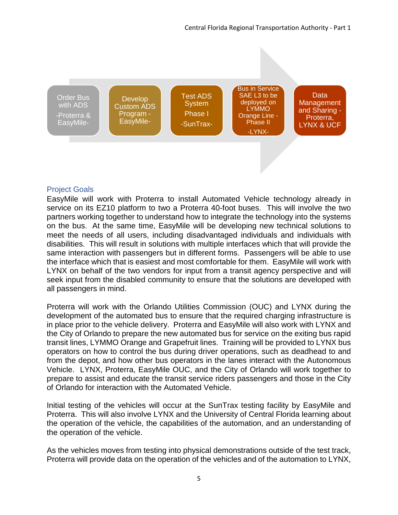

## <span id="page-9-0"></span>Project Goals

EasyMile will work with Proterra to install Automated Vehicle technology already in service on its EZ10 platform to two a Proterra 40-foot buses. This will involve the two partners working together to understand how to integrate the technology into the systems on the bus. At the same time, EasyMile will be developing new technical solutions to meet the needs of all users, including disadvantaged individuals and individuals with disabilities. This will result in solutions with multiple interfaces which that will provide the same interaction with passengers but in different forms. Passengers will be able to use the interface which that is easiest and most comfortable for them. EasyMile will work with LYNX on behalf of the two vendors for input from a transit agency perspective and will seek input from the disabled community to ensure that the solutions are developed with all passengers in mind.

Proterra will work with the Orlando Utilities Commission (OUC) and LYNX during the development of the automated bus to ensure that the required charging infrastructure is in place prior to the vehicle delivery. Proterra and EasyMile will also work with LYNX and the City of Orlando to prepare the new automated bus for service on the exiting bus rapid transit lines, LYMMO Orange and Grapefruit lines. Training will be provided to LYNX bus operators on how to control the bus during driver operations, such as deadhead to and from the depot, and how other bus operators in the lanes interact with the Autonomous Vehicle. LYNX, Proterra, EasyMile OUC, and the City of Orlando will work together to prepare to assist and educate the transit service riders passengers and those in the City of Orlando for interaction with the Automated Vehicle.

Initial testing of the vehicles will occur at the SunTrax testing facility by EasyMile and Proterra. This will also involve LYNX and the University of Central Florida learning about the operation of the vehicle, the capabilities of the automation, and an understanding of the operation of the vehicle.

As the vehicles moves from testing into physical demonstrations outside of the test track, Proterra will provide data on the operation of the vehicles and of the automation to LYNX,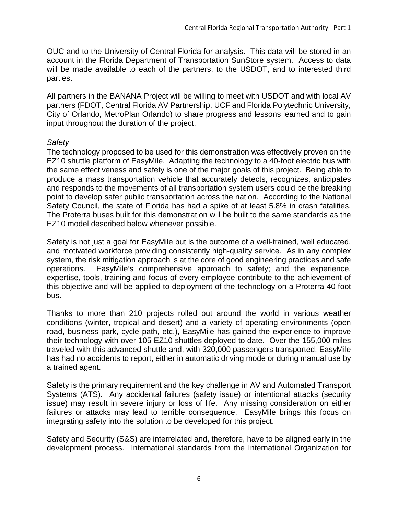OUC and to the University of Central Florida for analysis. This data will be stored in an account in the Florida Department of Transportation SunStore system. Access to data will be made available to each of the partners, to the USDOT, and to interested third parties.

All partners in the BANANA Project will be willing to meet with USDOT and with local AV partners (FDOT, Central Florida AV Partnership, UCF and Florida Polytechnic University, City of Orlando, MetroPlan Orlando) to share progress and lessons learned and to gain input throughout the duration of the project.

## <span id="page-10-0"></span>*Safety*

The technology proposed to be used for this demonstration was effectively proven on the EZ10 shuttle platform of EasyMile. Adapting the technology to a 40-foot electric bus with the same effectiveness and safety is one of the major goals of this project. Being able to produce a mass transportation vehicle that accurately detects, recognizes, anticipates and responds to the movements of all transportation system users could be the breaking point to develop safer public transportation across the nation. According to the National Safety Council, the state of Florida has had a spike of at least 5.8% in crash fatalities. The Proterra buses built for this demonstration will be built to the same standards as the EZ10 model described below whenever possible.

Safety is not just a goal for EasyMile but is the outcome of a well-trained, well educated, and motivated workforce providing consistently high-quality service. As in any complex system, the risk mitigation approach is at the core of good engineering practices and safe operations. EasyMile's comprehensive approach to safety; and the experience, expertise, tools, training and focus of every employee contribute to the achievement of this objective and will be applied to deployment of the technology on a Proterra 40-foot bus.

Thanks to more than 210 projects rolled out around the world in various weather conditions (winter, tropical and desert) and a variety of operating environments (open road, business park, cycle path, etc.), EasyMile has gained the experience to improve their technology with over 105 EZ10 shuttles deployed to date. Over the 155,000 miles traveled with this advanced shuttle and, with 320,000 passengers transported, EasyMile has had no accidents to report, either in automatic driving mode or during manual use by a trained agent.

Safety is the primary requirement and the key challenge in AV and Automated Transport Systems (ATS). Any accidental failures (safety issue) or intentional attacks (security issue) may result in severe injury or loss of life. Any missing consideration on either failures or attacks may lead to terrible consequence. EasyMile brings this focus on integrating safety into the solution to be developed for this project.

Safety and Security (S&S) are interrelated and, therefore, have to be aligned early in the development process. International standards from the International Organization for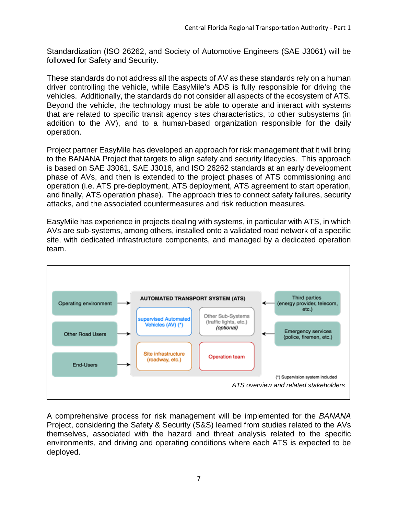Standardization (ISO 26262, and Society of Automotive Engineers (SAE J3061) will be followed for Safety and Security.

These standards do not address all the aspects of AV as these standards rely on a human driver controlling the vehicle, while EasyMile's ADS is fully responsible for driving the vehicles. Additionally, the standards do not consider all aspects of the ecosystem of ATS. Beyond the vehicle, the technology must be able to operate and interact with systems that are related to specific transit agency sites characteristics, to other subsystems (in addition to the AV), and to a human-based organization responsible for the daily operation.

Project partner EasyMile has developed an approach for risk management that it will bring to the BANANA Project that targets to align safety and security lifecycles. This approach is based on SAE J3061, SAE J3016, and ISO 26262 standards at an early development phase of AVs, and then is extended to the project phases of ATS commissioning and operation (i.e. ATS pre-deployment, ATS deployment, ATS agreement to start operation, and finally, ATS operation phase). The approach tries to connect safety failures, security attacks, and the associated countermeasures and risk reduction measures.

EasyMile has experience in projects dealing with systems, in particular with ATS, in which AVs are sub-systems, among others, installed onto a validated road network of a specific site, with dedicated infrastructure components, and managed by a dedicated operation team.



A comprehensive process for risk management will be implemented for the *BANANA* Project, considering the Safety & Security (S&S) learned from studies related to the AVs themselves, associated with the hazard and threat analysis related to the specific environments, and driving and operating conditions where each ATS is expected to be deployed.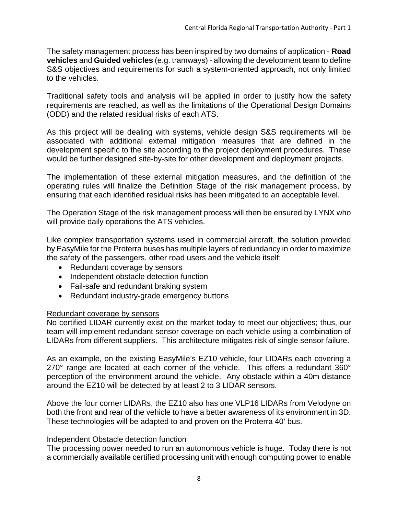The safety management process has been inspired by two domains of application - **Road vehicles** and **Guided vehicles** (e.g. tramways) - allowing the development team to define S&S objectives and requirements for such a system-oriented approach, not only limited to the vehicles.

Traditional safety tools and analysis will be applied in order to justify how the safety requirements are reached, as well as the limitations of the Operational Design Domains (ODD) and the related residual risks of each ATS.

As this project will be dealing with systems, vehicle design S&S requirements will be associated with additional external mitigation measures that are defined in the development specific to the site according to the project deployment procedures. These would be further designed site-by-site for other development and deployment projects.

The implementation of these external mitigation measures, and the definition of the operating rules will finalize the Definition Stage of the risk management process, by ensuring that each identified residual risks has been mitigated to an acceptable level.

The Operation Stage of the risk management process will then be ensured by LYNX who will provide daily operations the ATS vehicles.

Like complex transportation systems used in commercial aircraft, the solution provided by EasyMile for the Proterra buses has multiple layers of redundancy in order to maximize the safety of the passengers, other road users and the vehicle itself:

- Redundant coverage by sensors
- Independent obstacle detection function
- Fail-safe and redundant braking system
- Redundant industry-grade emergency buttons

## Redundant coverage by sensors

No certified LIDAR currently exist on the market today to meet our objectives; thus, our team will implement redundant sensor coverage on each vehicle using a combination of LIDARs from different suppliers. This architecture mitigates risk of single sensor failure.

As an example, on the existing EasyMile's EZ10 vehicle, four LIDARs each covering a 270° range are located at each corner of the vehicle. This offers a redundant 360° perception of the environment around the vehicle. Any obstacle within a 40m distance around the EZ10 will be detected by at least 2 to 3 LIDAR sensors.

Above the four corner LIDARs, the EZ10 also has one VLP16 LIDARs from Velodyne on both the front and rear of the vehicle to have a better awareness of its environment in 3D. These technologies will be adapted to and proven on the Proterra 40' bus.

## Independent Obstacle detection function

The processing power needed to run an autonomous vehicle is huge. Today there is not a commercially available certified processing unit with enough computing power to enable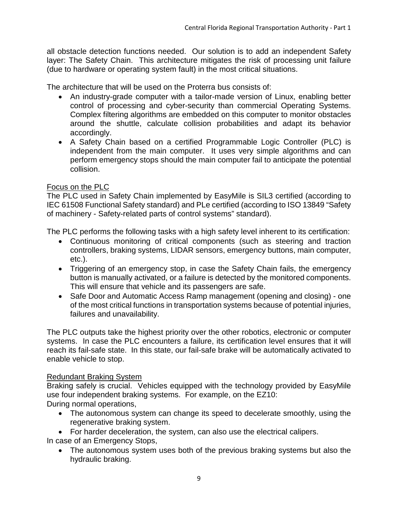all obstacle detection functions needed. Our solution is to add an independent Safety layer: The Safety Chain. This architecture mitigates the risk of processing unit failure (due to hardware or operating system fault) in the most critical situations.

The architecture that will be used on the Proterra bus consists of:

- An industry-grade computer with a tailor-made version of Linux, enabling better control of processing and cyber-security than commercial Operating Systems. Complex filtering algorithms are embedded on this computer to monitor obstacles around the shuttle, calculate collision probabilities and adapt its behavior accordingly.
- A Safety Chain based on a certified Programmable Logic Controller (PLC) is independent from the main computer. It uses very simple algorithms and can perform emergency stops should the main computer fail to anticipate the potential collision.

## Focus on the PLC

The PLC used in Safety Chain implemented by EasyMile is SIL3 certified (according to IEC 61508 Functional Safety standard) and PLe certified (according to ISO 13849 "Safety of machinery - Safety-related parts of control systems" standard).

The PLC performs the following tasks with a high safety level inherent to its certification:

- Continuous monitoring of critical components (such as steering and traction controllers, braking systems, LIDAR sensors, emergency buttons, main computer, etc.).
- Triggering of an emergency stop, in case the Safety Chain fails, the emergency button is manually activated, or a failure is detected by the monitored components. This will ensure that vehicle and its passengers are safe.
- Safe Door and Automatic Access Ramp management (opening and closing) one of the most critical functions in transportation systems because of potential injuries, failures and unavailability.

The PLC outputs take the highest priority over the other robotics, electronic or computer systems. In case the PLC encounters a failure, its certification level ensures that it will reach its fail-safe state. In this state, our fail-safe brake will be automatically activated to enable vehicle to stop.

## Redundant Braking System

Braking safely is crucial. Vehicles equipped with the technology provided by EasyMile use four independent braking systems. For example, on the EZ10:

During normal operations,

- The autonomous system can change its speed to decelerate smoothly, using the regenerative braking system.
- For harder deceleration, the system, can also use the electrical calipers.

In case of an Emergency Stops,

• The autonomous system uses both of the previous braking systems but also the hydraulic braking.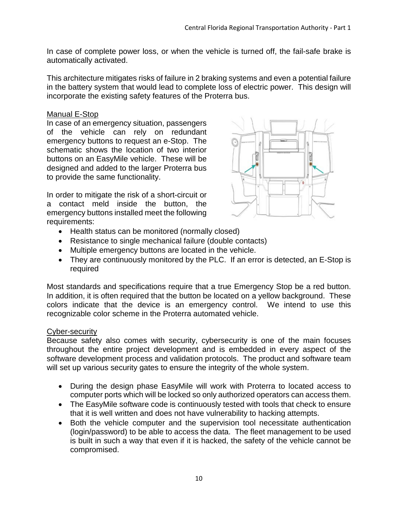In case of complete power loss, or when the vehicle is turned off, the fail-safe brake is automatically activated.

This architecture mitigates risks of failure in 2 braking systems and even a potential failure in the battery system that would lead to complete loss of electric power. This design will incorporate the existing safety features of the Proterra bus.

## Manual E-Stop

In case of an emergency situation, passengers of the vehicle can rely on redundant emergency buttons to request an e-Stop. The schematic shows the location of two interior buttons on an EasyMile vehicle. These will be designed and added to the larger Proterra bus to provide the same functionality.

In order to mitigate the risk of a short-circuit or a contact meld inside the button, the emergency buttons installed meet the following requirements:



- Health status can be monitored (normally closed)
- Resistance to single mechanical failure (double contacts)
- Multiple emergency buttons are located in the vehicle.
- They are continuously monitored by the PLC. If an error is detected, an E-Stop is required

Most standards and specifications require that a true Emergency Stop be a red button. In addition, it is often required that the button be located on a yellow background. These colors indicate that the device is an emergency control. We intend to use this recognizable color scheme in the Proterra automated vehicle.

## Cyber-security

Because safety also comes with security, cybersecurity is one of the main focuses throughout the entire project development and is embedded in every aspect of the software development process and validation protocols. The product and software team will set up various security gates to ensure the integrity of the whole system.

- During the design phase EasyMile will work with Proterra to located access to computer ports which will be locked so only authorized operators can access them.
- The EasyMile software code is continuously tested with tools that check to ensure that it is well written and does not have vulnerability to hacking attempts.
- Both the vehicle computer and the supervision tool necessitate authentication (login/password) to be able to access the data. The fleet management to be used is built in such a way that even if it is hacked, the safety of the vehicle cannot be compromised.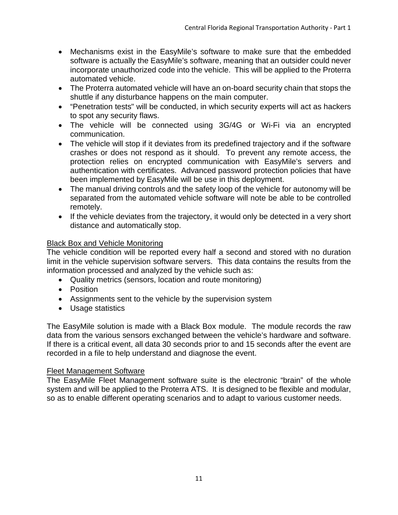- Mechanisms exist in the EasyMile's software to make sure that the embedded software is actually the EasyMile's software, meaning that an outsider could never incorporate unauthorized code into the vehicle. This will be applied to the Proterra automated vehicle.
- The Proterra automated vehicle will have an on-board security chain that stops the shuttle if any disturbance happens on the main computer.
- "Penetration tests" will be conducted, in which security experts will act as hackers to spot any security flaws.
- The vehicle will be connected using 3G/4G or Wi-Fi via an encrypted communication.
- The vehicle will stop if it deviates from its predefined trajectory and if the software crashes or does not respond as it should. To prevent any remote access, the protection relies on encrypted communication with EasyMile's servers and authentication with certificates. Advanced password protection policies that have been implemented by EasyMile will be use in this deployment.
- The manual driving controls and the safety loop of the vehicle for autonomy will be separated from the automated vehicle software will note be able to be controlled remotely.
- If the vehicle deviates from the trajectory, it would only be detected in a very short distance and automatically stop.

## **Black Box and Vehicle Monitoring**

The vehicle condition will be reported every half a second and stored with no duration limit in the vehicle supervision software servers. This data contains the results from the information processed and analyzed by the vehicle such as:

- Quality metrics (sensors, location and route monitoring)
- Position
- Assignments sent to the vehicle by the supervision system
- Usage statistics

The EasyMile solution is made with a Black Box module. The module records the raw data from the various sensors exchanged between the vehicle's hardware and software. If there is a critical event, all data 30 seconds prior to and 15 seconds after the event are recorded in a file to help understand and diagnose the event.

## Fleet Management Software

The EasyMile Fleet Management software suite is the electronic "brain" of the whole system and will be applied to the Proterra ATS. It is designed to be flexible and modular, so as to enable different operating scenarios and to adapt to various customer needs.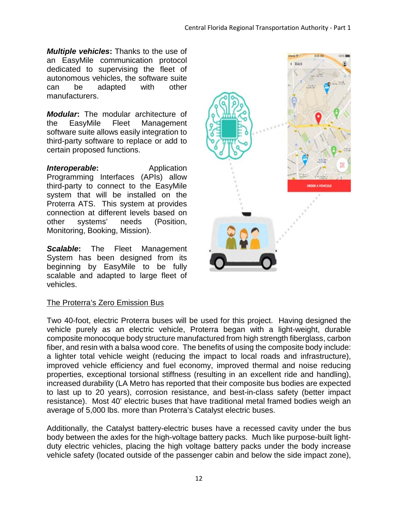*Multiple vehicles***:** Thanks to the use of an EasyMile communication protocol dedicated to supervising the fleet of autonomous vehicles, the software suite can be adapted with other manufacturers.

*Modular***:** The modular architecture of the EasyMile Fleet Management software suite allows easily integration to third-party software to replace or add to certain proposed functions.

*Interoperable***:** Application Programming Interfaces (APIs) allow third-party to connect to the EasyMile system that will be installed on the Proterra ATS. This system at provides connection at different levels based on other systems' needs (Position, Monitoring, Booking, Mission).

*Scalable***:** The Fleet Management System has been designed from its beginning by EasyMile to be fully scalable and adapted to large fleet of vehicles.

## The Proterra's Zero Emission Bus

Two 40-foot, electric Proterra buses will be used for this project. Having designed the vehicle purely as an electric vehicle, Proterra began with a light-weight, durable composite monocoque body structure manufactured from high strength fiberglass, carbon fiber, and resin with a balsa wood core. The benefits of using the composite body include: a lighter total vehicle weight (reducing the impact to local roads and infrastructure), improved vehicle efficiency and fuel economy, improved thermal and noise reducing properties, exceptional torsional stiffness (resulting in an excellent ride and handling), increased durability (LA Metro has reported that their composite bus bodies are expected to last up to 20 years), corrosion resistance, and best-in-class safety (better impact resistance). Most 40' electric buses that have traditional metal framed bodies weigh an average of 5,000 lbs. more than Proterra's Catalyst electric buses.

Additionally, the Catalyst battery-electric buses have a recessed cavity under the bus body between the axles for the high-voltage battery packs. Much like purpose-built lightduty electric vehicles, placing the high voltage battery packs under the body increase vehicle safety (located outside of the passenger cabin and below the side impact zone),

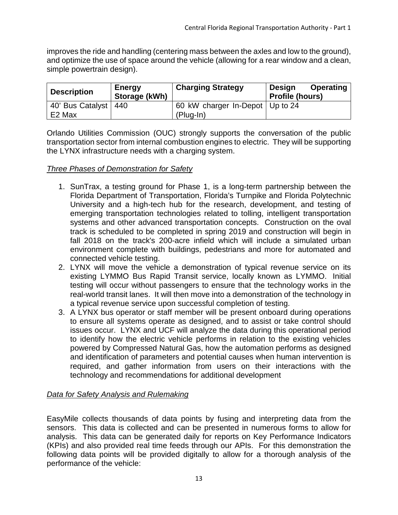improves the ride and handling (centering mass between the axles and low to the ground), and optimize the use of space around the vehicle (allowing for a rear window and a clean, simple powertrain design).

| <b>Description</b>     | Energy<br>Storage (kWh) | <b>Charging Strategy</b>          | <b>Operating</b><br><b>Design</b><br><b>Profile (hours)</b> |
|------------------------|-------------------------|-----------------------------------|-------------------------------------------------------------|
| 40' Bus Catalyst   440 |                         | 60 kW charger In-Depot   Up to 24 |                                                             |
| E <sub>2</sub> Max     |                         | $(Plug-In)$                       |                                                             |

Orlando Utilities Commission (OUC) strongly supports the conversation of the public transportation sector from internal combustion engines to electric. They will be supporting the LYNX infrastructure needs with a charging system.

## *Three Phases of Demonstration for Safety*

- 1. SunTrax, a testing ground for Phase 1, is a long-term partnership between the Florida Department of Transportation, Florida's Turnpike and Florida Polytechnic University and a high-tech hub for the research, development, and testing of emerging transportation technologies related to tolling, intelligent transportation systems and other advanced transportation concepts. Construction on the oval track is scheduled to be completed in spring 2019 and construction will begin in fall 2018 on the track's 200-acre infield which will include a simulated urban environment complete with buildings, pedestrians and more for automated and connected vehicle testing.
- 2. LYNX will move the vehicle a demonstration of typical revenue service on its existing LYMMO Bus Rapid Transit service, locally known as LYMMO. Initial testing will occur without passengers to ensure that the technology works in the real-world transit lanes. It will then move into a demonstration of the technology in a typical revenue service upon successful completion of testing.
- 3. A LYNX bus operator or staff member will be present onboard during operations to ensure all systems operate as designed, and to assist or take control should issues occur. LYNX and UCF will analyze the data during this operational period to identify how the electric vehicle performs in relation to the existing vehicles powered by Compressed Natural Gas, how the automation performs as designed and identification of parameters and potential causes when human intervention is required, and gather information from users on their interactions with the technology and recommendations for additional development

## <span id="page-17-0"></span>*Data for Safety Analysis and Rulemaking*

EasyMile collects thousands of data points by fusing and interpreting data from the sensors. This data is collected and can be presented in numerous forms to allow for analysis. This data can be generated daily for reports on Key Performance Indicators (KPIs) and also provided real time feeds through our APIs. For this demonstration the following data points will be provided digitally to allow for a thorough analysis of the performance of the vehicle: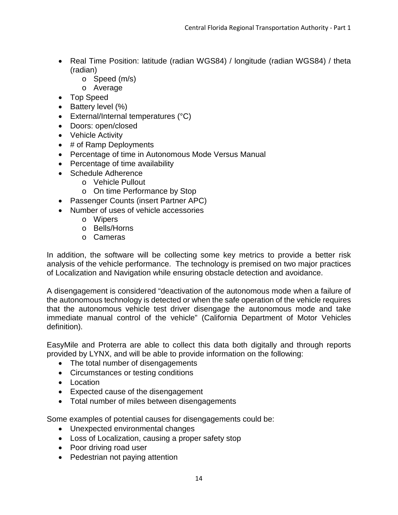- Real Time Position: latitude (radian WGS84) / longitude (radian WGS84) / theta (radian)
	- o Speed (m/s)
	- o Average
- Top Speed
- Battery level (%)
- External/Internal temperatures (°C)
- Doors: open/closed
- Vehicle Activity
- # of Ramp Deployments
- Percentage of time in Autonomous Mode Versus Manual
- Percentage of time availability
- Schedule Adherence
	- o Vehicle Pullout
	- o On time Performance by Stop
- Passenger Counts (insert Partner APC)
- Number of uses of vehicle accessories
	- o Wipers
	- o Bells/Horns
	- o Cameras

In addition, the software will be collecting some key metrics to provide a better risk analysis of the vehicle performance. The technology is premised on two major practices of Localization and Navigation while ensuring obstacle detection and avoidance.

A disengagement is considered "deactivation of the autonomous mode when a failure of the autonomous technology is detected or when the safe operation of the vehicle requires that the autonomous vehicle test driver disengage the autonomous mode and take immediate manual control of the vehicle" (California Department of Motor Vehicles definition).

EasyMile and Proterra are able to collect this data both digitally and through reports provided by LYNX, and will be able to provide information on the following:

- The total number of disengagements
- Circumstances or testing conditions
- Location
- Expected cause of the disengagement
- Total number of miles between disengagements

Some examples of potential causes for disengagements could be:

- Unexpected environmental changes
- Loss of Localization, causing a proper safety stop
- Poor driving road user
- Pedestrian not paying attention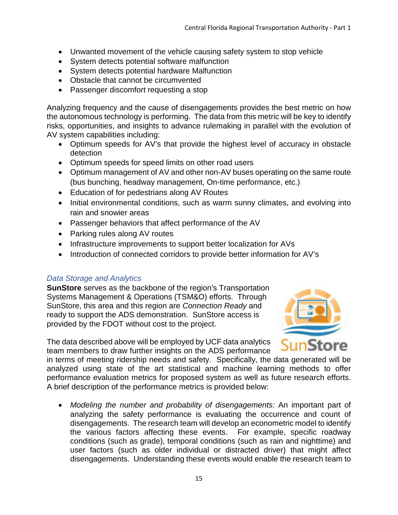- Unwanted movement of the vehicle causing safety system to stop vehicle
- System detects potential software malfunction
- System detects potential hardware Malfunction
- Obstacle that cannot be circumvented
- Passenger discomfort requesting a stop

Analyzing frequency and the cause of disengagements provides the best metric on how the autonomous technology is performing. The data from this metric will be key to identify risks, opportunities, and insights to advance rulemaking in parallel with the evolution of AV system capabilities including:

- Optimum speeds for AV's that provide the highest level of accuracy in obstacle detection
- Optimum speeds for speed limits on other road users
- Optimum management of AV and other non-AV buses operating on the same route (bus bunching, headway management, On-time performance, etc.)
- Education of for pedestrians along AV Routes
- Initial environmental conditions, such as warm sunny climates, and evolving into rain and snowier areas
- Passenger behaviors that affect performance of the AV
- Parking rules along AV routes
- Infrastructure improvements to support better localization for AVs
- Introduction of connected corridors to provide better information for AV's

## *Data Storage and Analytics*

**SunStore** serves as the backbone of the region's Transportation Systems Management & Operations (TSM&O) efforts. Through SunStore, this area and this region are *Connection Ready* and ready to support the ADS demonstration. SunStore access is provided by the FDOT without cost to the project.



The data described above will be employed by UCF data analytics team members to draw further insights on the ADS performance

in terms of meeting ridership needs and safety. Specifically, the data generated will be analyzed using state of the art statistical and machine learning methods to offer performance evaluation metrics for proposed system as well as future research efforts. A brief description of the performance metrics is provided below:

• *Modeling the number and probability of disengagements:* An important part of analyzing the safety performance is evaluating the occurrence and count of disengagements. The research team will develop an econometric model to identify the various factors affecting these events. For example, specific roadway conditions (such as grade), temporal conditions (such as rain and nighttime) and user factors (such as older individual or distracted driver) that might affect disengagements. Understanding these events would enable the research team to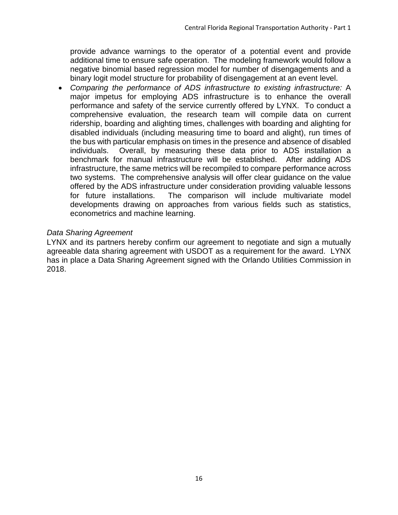provide advance warnings to the operator of a potential event and provide additional time to ensure safe operation. The modeling framework would follow a negative binomial based regression model for number of disengagements and a binary logit model structure for probability of disengagement at an event level.

• *Comparing the performance of ADS infrastructure to existing infrastructure:* A major impetus for employing ADS infrastructure is to enhance the overall performance and safety of the service currently offered by LYNX. To conduct a comprehensive evaluation, the research team will compile data on current ridership, boarding and alighting times, challenges with boarding and alighting for disabled individuals (including measuring time to board and alight), run times of the bus with particular emphasis on times in the presence and absence of disabled individuals. Overall, by measuring these data prior to ADS installation a benchmark for manual infrastructure will be established. After adding ADS infrastructure, the same metrics will be recompiled to compare performance across two systems. The comprehensive analysis will offer clear guidance on the value offered by the ADS infrastructure under consideration providing valuable lessons for future installations. The comparison will include multivariate model developments drawing on approaches from various fields such as statistics, econometrics and machine learning.

## *Data Sharing Agreement*

LYNX and its partners hereby confirm our agreement to negotiate and sign a mutually agreeable data sharing agreement with USDOT as a requirement for the award. LYNX has in place a Data Sharing Agreement signed with the Orlando Utilities Commission in 2018.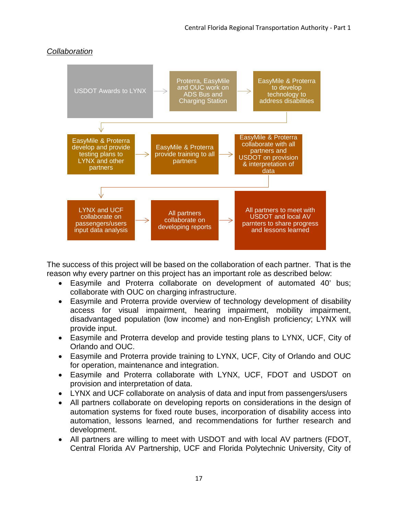

## <span id="page-21-0"></span>*Collaboration*

The success of this project will be based on the collaboration of each partner. That is the reason why every partner on this project has an important role as described below:

- Easymile and Proterra collaborate on development of automated 40' bus; collaborate with OUC on charging infrastructure.
- Easymile and Proterra provide overview of technology development of disability access for visual impairment, hearing impairment, mobility impairment, disadvantaged population (low income) and non-English proficiency; LYNX will provide input.
- Easymile and Proterra develop and provide testing plans to LYNX, UCF, City of Orlando and OUC.
- Easymile and Proterra provide training to LYNX, UCF, City of Orlando and OUC for operation, maintenance and integration.
- Easymile and Proterra collaborate with LYNX, UCF, FDOT and USDOT on provision and interpretation of data.
- LYNX and UCF collaborate on analysis of data and input from passengers/users
- All partners collaborate on developing reports on considerations in the design of automation systems for fixed route buses, incorporation of disability access into automation, lessons learned, and recommendations for further research and development.
- All partners are willing to meet with USDOT and with local AV partners (FDOT, Central Florida AV Partnership, UCF and Florida Polytechnic University, City of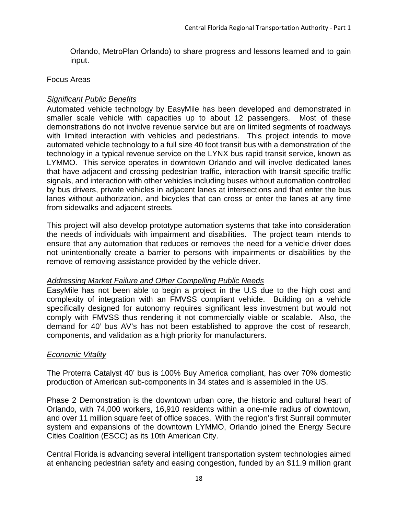Orlando, MetroPlan Orlando) to share progress and lessons learned and to gain input.

#### <span id="page-22-0"></span>Focus Areas

## <span id="page-22-1"></span>*Significant Public Benefits*

Automated vehicle technology by EasyMile has been developed and demonstrated in smaller scale vehicle with capacities up to about 12 passengers. Most of these demonstrations do not involve revenue service but are on limited segments of roadways with limited interaction with vehicles and pedestrians. This project intends to move automated vehicle technology to a full size 40 foot transit bus with a demonstration of the technology in a typical revenue service on the LYNX bus rapid transit service, known as LYMMO. This service operates in downtown Orlando and will involve dedicated lanes that have adjacent and crossing pedestrian traffic, interaction with transit specific traffic signals, and interaction with other vehicles including buses without automation controlled by bus drivers, private vehicles in adjacent lanes at intersections and that enter the bus lanes without authorization, and bicycles that can cross or enter the lanes at any time from sidewalks and adjacent streets.

This project will also develop prototype automation systems that take into consideration the needs of individuals with impairment and disabilities. The project team intends to ensure that any automation that reduces or removes the need for a vehicle driver does not unintentionally create a barrier to persons with impairments or disabilities by the remove of removing assistance provided by the vehicle driver.

## <span id="page-22-2"></span>*Addressing Market Failure and Other Compelling Public Needs*

EasyMile has not been able to begin a project in the U.S due to the high cost and complexity of integration with an FMVSS compliant vehicle. Building on a vehicle specifically designed for autonomy requires significant less investment but would not comply with FMVSS thus rendering it not commercially viable or scalable. Also, the demand for 40' bus AV's has not been established to approve the cost of research, components, and validation as a high priority for manufacturers.

## <span id="page-22-3"></span>*Economic Vitality*

The Proterra Catalyst 40' bus is 100% Buy America compliant, has over 70% domestic production of American sub-components in 34 states and is assembled in the US.

Phase 2 Demonstration is the downtown urban core, the historic and cultural heart of Orlando, with 74,000 workers, 16,910 residents within a one-mile radius of downtown, and over 11 million square feet of office spaces. With the region's first Sunrail commuter system and expansions of the downtown LYMMO, Orlando joined the Energy Secure Cities Coalition (ESCC) as its 10th American City.

Central Florida is advancing several intelligent transportation system technologies aimed at enhancing pedestrian safety and easing congestion, funded by an \$11.9 million grant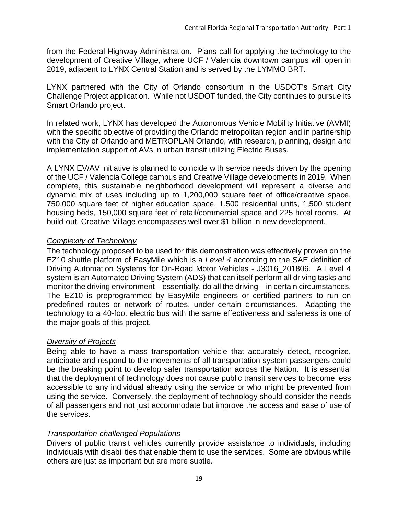from the Federal Highway Administration. Plans call for applying the technology to the development of Creative Village, where UCF / Valencia downtown campus will open in 2019, adjacent to LYNX Central Station and is served by the LYMMO BRT.

LYNX partnered with the City of Orlando consortium in the USDOT's Smart City Challenge Project application. While not USDOT funded, the City continues to pursue its Smart Orlando project.

In related work, LYNX has developed the Autonomous Vehicle Mobility Initiative (AVMI) with the specific objective of providing the Orlando metropolitan region and in partnership with the City of Orlando and METROPLAN Orlando, with research, planning, design and implementation support of AVs in urban transit utilizing Electric Buses.

A LYNX EV/AV initiative is planned to coincide with service needs driven by the opening of the UCF / Valencia College campus and Creative Village developments in 2019. When complete, this sustainable neighborhood development will represent a diverse and dynamic mix of uses including up to 1,200,000 square feet of office/creative space, 750,000 square feet of higher education space, 1,500 residential units, 1,500 student housing beds, 150,000 square feet of retail/commercial space and 225 hotel rooms. At build-out, Creative Village encompasses well over \$1 billion in new development.

## <span id="page-23-0"></span>*Complexity of Technology*

The technology proposed to be used for this demonstration was effectively proven on the EZ10 shuttle platform of EasyMile which is a *Level 4* according to the SAE definition of Driving Automation Systems for On-Road Motor Vehicles - J3016\_201806. A Level 4 system is an Automated Driving System (ADS) that can itself perform all driving tasks and monitor the driving environment – essentially, do all the driving – in certain circumstances. The EZ10 is preprogrammed by EasyMile engineers or certified partners to run on predefined routes or network of routes, under certain circumstances. Adapting the technology to a 40-foot electric bus with the same effectiveness and safeness is one of the major goals of this project.

## <span id="page-23-1"></span>*Diversity of Projects*

Being able to have a mass transportation vehicle that accurately detect, recognize, anticipate and respond to the movements of all transportation system passengers could be the breaking point to develop safer transportation across the Nation. It is essential that the deployment of technology does not cause public transit services to become less accessible to any individual already using the service or who might be prevented from using the service. Conversely, the deployment of technology should consider the needs of all passengers and not just accommodate but improve the access and ease of use of the services.

## <span id="page-23-2"></span>*Transportation-challenged Populations*

Drivers of public transit vehicles currently provide assistance to individuals, including individuals with disabilities that enable them to use the services. Some are obvious while others are just as important but are more subtle.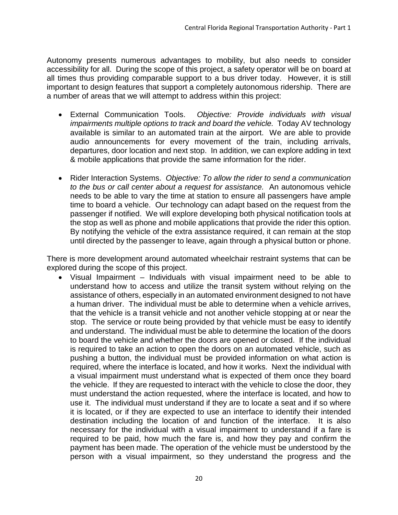Autonomy presents numerous advantages to mobility, but also needs to consider accessibility for all. During the scope of this project, a safety operator will be on board at all times thus providing comparable support to a bus driver today. However, it is still important to design features that support a completely autonomous ridership. There are a number of areas that we will attempt to address within this project:

- External Communication Tools. *Objective: Provide individuals with visual impairments multiple options to track and board the vehicle.* Today AV technology available is similar to an automated train at the airport. We are able to provide audio announcements for every movement of the train, including arrivals, departures, door location and next stop. In addition, we can explore adding in text & mobile applications that provide the same information for the rider.
- Rider Interaction Systems. *Objective: To allow the rider to send a communication to the bus or call center about a request for assistance.* An autonomous vehicle needs to be able to vary the time at station to ensure all passengers have ample time to board a vehicle. Our technology can adapt based on the request from the passenger if notified. We will explore developing both physical notification tools at the stop as well as phone and mobile applications that provide the rider this option. By notifying the vehicle of the extra assistance required, it can remain at the stop until directed by the passenger to leave, again through a physical button or phone.

There is more development around automated wheelchair restraint systems that can be explored during the scope of this project.

• Visual Impairment – Individuals with visual impairment need to be able to understand how to access and utilize the transit system without relying on the assistance of others, especially in an automated environment designed to not have a human driver. The individual must be able to determine when a vehicle arrives, that the vehicle is a transit vehicle and not another vehicle stopping at or near the stop. The service or route being provided by that vehicle must be easy to identify and understand. The individual must be able to determine the location of the doors to board the vehicle and whether the doors are opened or closed. If the individual is required to take an action to open the doors on an automated vehicle, such as pushing a button, the individual must be provided information on what action is required, where the interface is located, and how it works. Next the individual with a visual impairment must understand what is expected of them once they board the vehicle. If they are requested to interact with the vehicle to close the door, they must understand the action requested, where the interface is located, and how to use it. The individual must understand if they are to locate a seat and if so where it is located, or if they are expected to use an interface to identify their intended destination including the location of and function of the interface. It is also necessary for the individual with a visual impairment to understand if a fare is required to be paid, how much the fare is, and how they pay and confirm the payment has been made. The operation of the vehicle must be understood by the person with a visual impairment, so they understand the progress and the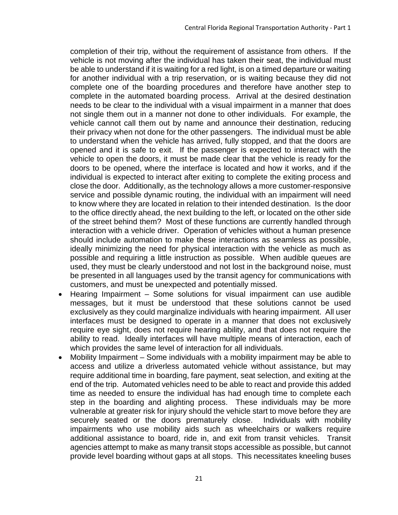completion of their trip, without the requirement of assistance from others. If the vehicle is not moving after the individual has taken their seat, the individual must be able to understand if it is waiting for a red light, is on a timed departure or waiting for another individual with a trip reservation, or is waiting because they did not complete one of the boarding procedures and therefore have another step to complete in the automated boarding process. Arrival at the desired destination needs to be clear to the individual with a visual impairment in a manner that does not single them out in a manner not done to other individuals. For example, the vehicle cannot call them out by name and announce their destination, reducing their privacy when not done for the other passengers. The individual must be able to understand when the vehicle has arrived, fully stopped, and that the doors are opened and it is safe to exit. If the passenger is expected to interact with the vehicle to open the doors, it must be made clear that the vehicle is ready for the doors to be opened, where the interface is located and how it works, and if the individual is expected to interact after exiting to complete the exiting process and close the door. Additionally, as the technology allows a more customer-responsive service and possible dynamic routing, the individual with an impairment will need to know where they are located in relation to their intended destination. Is the door to the office directly ahead, the next building to the left, or located on the other side of the street behind them? Most of these functions are currently handled through interaction with a vehicle driver. Operation of vehicles without a human presence should include automation to make these interactions as seamless as possible, ideally minimizing the need for physical interaction with the vehicle as much as possible and requiring a little instruction as possible. When audible queues are used, they must be clearly understood and not lost in the background noise, must be presented in all languages used by the transit agency for communications with customers, and must be unexpected and potentially missed.

- Hearing Impairment Some solutions for visual impairment can use audible messages, but it must be understood that these solutions cannot be used exclusively as they could marginalize individuals with hearing impairment. All user interfaces must be designed to operate in a manner that does not exclusively require eye sight, does not require hearing ability, and that does not require the ability to read. Ideally interfaces will have multiple means of interaction, each of which provides the same level of interaction for all individuals.
- Mobility Impairment Some individuals with a mobility impairment may be able to access and utilize a driverless automated vehicle without assistance, but may require additional time in boarding, fare payment, seat selection, and exiting at the end of the trip. Automated vehicles need to be able to react and provide this added time as needed to ensure the individual has had enough time to complete each step in the boarding and alighting process. These individuals may be more vulnerable at greater risk for injury should the vehicle start to move before they are securely seated or the doors prematurely close. Individuals with mobility impairments who use mobility aids such as wheelchairs or walkers require additional assistance to board, ride in, and exit from transit vehicles. Transit agencies attempt to make as many transit stops accessible as possible, but cannot provide level boarding without gaps at all stops. This necessitates kneeling buses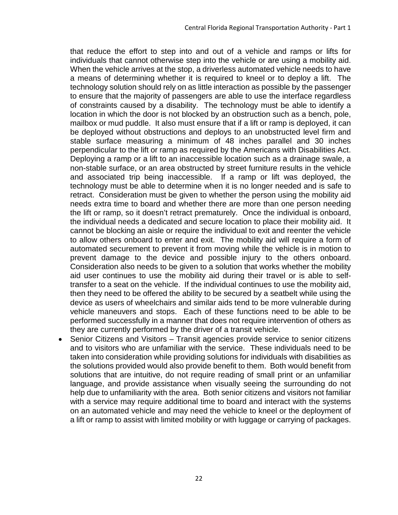that reduce the effort to step into and out of a vehicle and ramps or lifts for individuals that cannot otherwise step into the vehicle or are using a mobility aid. When the vehicle arrives at the stop, a driverless automated vehicle needs to have a means of determining whether it is required to kneel or to deploy a lift. The technology solution should rely on as little interaction as possible by the passenger to ensure that the majority of passengers are able to use the interface regardless of constraints caused by a disability. The technology must be able to identify a location in which the door is not blocked by an obstruction such as a bench, pole, mailbox or mud puddle. It also must ensure that if a lift or ramp is deployed, it can be deployed without obstructions and deploys to an unobstructed level firm and stable surface measuring a minimum of 48 inches parallel and 30 inches perpendicular to the lift or ramp as required by the Americans with Disabilities Act. Deploying a ramp or a lift to an inaccessible location such as a drainage swale, a non-stable surface, or an area obstructed by street furniture results in the vehicle and associated trip being inaccessible. If a ramp or lift was deployed, the technology must be able to determine when it is no longer needed and is safe to retract. Consideration must be given to whether the person using the mobility aid needs extra time to board and whether there are more than one person needing the lift or ramp, so it doesn't retract prematurely. Once the individual is onboard, the individual needs a dedicated and secure location to place their mobility aid. It cannot be blocking an aisle or require the individual to exit and reenter the vehicle to allow others onboard to enter and exit. The mobility aid will require a form of automated securement to prevent it from moving while the vehicle is in motion to prevent damage to the device and possible injury to the others onboard. Consideration also needs to be given to a solution that works whether the mobility aid user continues to use the mobility aid during their travel or is able to selftransfer to a seat on the vehicle. If the individual continues to use the mobility aid, then they need to be offered the ability to be secured by a seatbelt while using the device as users of wheelchairs and similar aids tend to be more vulnerable during vehicle maneuvers and stops. Each of these functions need to be able to be performed successfully in a manner that does not require intervention of others as they are currently performed by the driver of a transit vehicle.

• Senior Citizens and Visitors – Transit agencies provide service to senior citizens and to visitors who are unfamiliar with the service. These individuals need to be taken into consideration while providing solutions for individuals with disabilities as the solutions provided would also provide benefit to them. Both would benefit from solutions that are intuitive, do not require reading of small print or an unfamiliar language, and provide assistance when visually seeing the surrounding do not help due to unfamiliarity with the area. Both senior citizens and visitors not familiar with a service may require additional time to board and interact with the systems on an automated vehicle and may need the vehicle to kneel or the deployment of a lift or ramp to assist with limited mobility or with luggage or carrying of packages.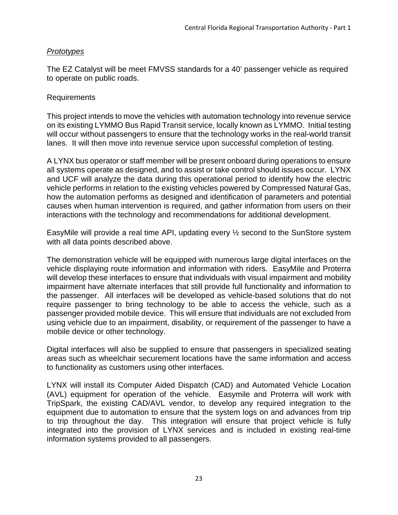## *Prototypes*

The EZ Catalyst will be meet FMVSS standards for a 40' passenger vehicle as required to operate on public roads.

#### <span id="page-27-0"></span>Requirements

This project intends to move the vehicles with automation technology into revenue service on its existing LYMMO Bus Rapid Transit service, locally known as LYMMO. Initial testing will occur without passengers to ensure that the technology works in the real-world transit lanes. It will then move into revenue service upon successful completion of testing.

A LYNX bus operator or staff member will be present onboard during operations to ensure all systems operate as designed, and to assist or take control should issues occur. LYNX and UCF will analyze the data during this operational period to identify how the electric vehicle performs in relation to the existing vehicles powered by Compressed Natural Gas, how the automation performs as designed and identification of parameters and potential causes when human intervention is required, and gather information from users on their interactions with the technology and recommendations for additional development.

EasyMile will provide a real time API, updating every ½ second to the SunStore system with all data points described above.

The demonstration vehicle will be equipped with numerous large digital interfaces on the vehicle displaying route information and information with riders. EasyMile and Proterra will develop these interfaces to ensure that individuals with visual impairment and mobility impairment have alternate interfaces that still provide full functionality and information to the passenger. All interfaces will be developed as vehicle-based solutions that do not require passenger to bring technology to be able to access the vehicle, such as a passenger provided mobile device. This will ensure that individuals are not excluded from using vehicle due to an impairment, disability, or requirement of the passenger to have a mobile device or other technology.

Digital interfaces will also be supplied to ensure that passengers in specialized seating areas such as wheelchair securement locations have the same information and access to functionality as customers using other interfaces.

LYNX will install its Computer Aided Dispatch (CAD) and Automated Vehicle Location (AVL) equipment for operation of the vehicle. Easymile and Proterra will work with TripSpark, the existing CAD/AVL vendor, to develop any required integration to the equipment due to automation to ensure that the system logs on and advances from trip to trip throughout the day. This integration will ensure that project vehicle is fully integrated into the provision of LYNX services and is included in existing real-time information systems provided to all passengers.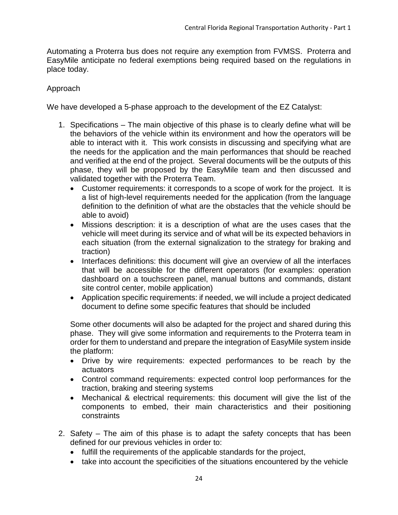Automating a Proterra bus does not require any exemption from FVMSS. Proterra and EasyMile anticipate no federal exemptions being required based on the regulations in place today.

## <span id="page-28-0"></span>Approach

We have developed a 5-phase approach to the development of the EZ Catalyst:

- 1. Specifications The main objective of this phase is to clearly define what will be the behaviors of the vehicle within its environment and how the operators will be able to interact with it. This work consists in discussing and specifying what are the needs for the application and the main performances that should be reached and verified at the end of the project. Several documents will be the outputs of this phase, they will be proposed by the EasyMile team and then discussed and validated together with the Proterra Team.
	- Customer requirements: it corresponds to a scope of work for the project. It is a list of high-level requirements needed for the application (from the language definition to the definition of what are the obstacles that the vehicle should be able to avoid)
	- Missions description: it is a description of what are the uses cases that the vehicle will meet during its service and of what will be its expected behaviors in each situation (from the external signalization to the strategy for braking and traction)
	- Interfaces definitions: this document will give an overview of all the interfaces that will be accessible for the different operators (for examples: operation dashboard on a touchscreen panel, manual buttons and commands, distant site control center, mobile application)
	- Application specific requirements: if needed, we will include a project dedicated document to define some specific features that should be included

Some other documents will also be adapted for the project and shared during this phase. They will give some information and requirements to the Proterra team in order for them to understand and prepare the integration of EasyMile system inside the platform:

- Drive by wire requirements: expected performances to be reach by the actuators
- Control command requirements: expected control loop performances for the traction, braking and steering systems
- Mechanical & electrical requirements: this document will give the list of the components to embed, their main characteristics and their positioning constraints
- 2. Safety The aim of this phase is to adapt the safety concepts that has been defined for our previous vehicles in order to:
	- fulfill the requirements of the applicable standards for the project,
	- take into account the specificities of the situations encountered by the vehicle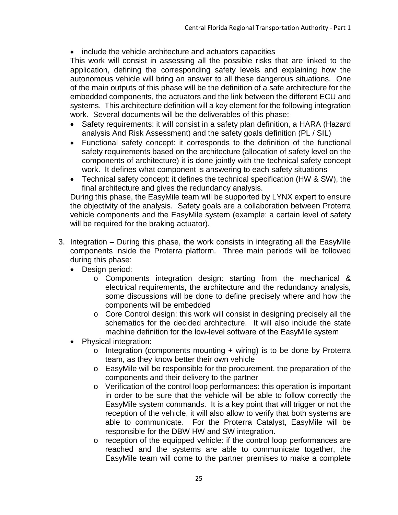• include the vehicle architecture and actuators capacities

This work will consist in assessing all the possible risks that are linked to the application, defining the corresponding safety levels and explaining how the autonomous vehicle will bring an answer to all these dangerous situations. One of the main outputs of this phase will be the definition of a safe architecture for the embedded components, the actuators and the link between the different ECU and systems. This architecture definition will a key element for the following integration work. Several documents will be the deliverables of this phase:

- Safety requirements: it will consist in a safety plan definition, a HARA (Hazard analysis And Risk Assessment) and the safety goals definition (PL / SIL)
- Functional safety concept: it corresponds to the definition of the functional safety requirements based on the architecture (allocation of safety level on the components of architecture) it is done jointly with the technical safety concept work. It defines what component is answering to each safety situations
- Technical safety concept: it defines the technical specification (HW & SW), the final architecture and gives the redundancy analysis.

During this phase, the EasyMile team will be supported by LYNX expert to ensure the objectivity of the analysis. Safety goals are a collaboration between Proterra vehicle components and the EasyMile system (example: a certain level of safety will be required for the braking actuator).

- 3. Integration During this phase, the work consists in integrating all the EasyMile components inside the Proterra platform. Three main periods will be followed during this phase:
	- Design period:
		- o Components integration design: starting from the mechanical & electrical requirements, the architecture and the redundancy analysis, some discussions will be done to define precisely where and how the components will be embedded
		- o Core Control design: this work will consist in designing precisely all the schematics for the decided architecture. It will also include the state machine definition for the low-level software of the EasyMile system
	- Physical integration:
		- $\circ$  Integration (components mounting + wiring) is to be done by Proterra team, as they know better their own vehicle
		- o EasyMile will be responsible for the procurement, the preparation of the components and their delivery to the partner
		- o Verification of the control loop performances: this operation is important in order to be sure that the vehicle will be able to follow correctly the EasyMile system commands. It is a key point that will trigger or not the reception of the vehicle, it will also allow to verify that both systems are able to communicate. For the Proterra Catalyst, EasyMile will be responsible for the DBW HW and SW integration.
		- o reception of the equipped vehicle: if the control loop performances are reached and the systems are able to communicate together, the EasyMile team will come to the partner premises to make a complete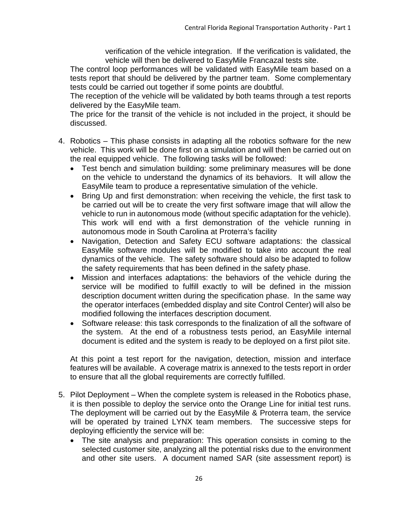verification of the vehicle integration. If the verification is validated, the vehicle will then be delivered to EasyMile Francazal tests site.

The control loop performances will be validated with EasyMile team based on a tests report that should be delivered by the partner team. Some complementary tests could be carried out together if some points are doubtful.

The reception of the vehicle will be validated by both teams through a test reports delivered by the EasyMile team.

The price for the transit of the vehicle is not included in the project, it should be discussed.

- 4. Robotics This phase consists in adapting all the robotics software for the new vehicle. This work will be done first on a simulation and will then be carried out on the real equipped vehicle. The following tasks will be followed:
	- Test bench and simulation building: some preliminary measures will be done on the vehicle to understand the dynamics of its behaviors. It will allow the EasyMile team to produce a representative simulation of the vehicle.
	- Bring Up and first demonstration: when receiving the vehicle, the first task to be carried out will be to create the very first software image that will allow the vehicle to run in autonomous mode (without specific adaptation for the vehicle). This work will end with a first demonstration of the vehicle running in autonomous mode in South Carolina at Proterra's facility
	- Navigation, Detection and Safety ECU software adaptations: the classical EasyMile software modules will be modified to take into account the real dynamics of the vehicle. The safety software should also be adapted to follow the safety requirements that has been defined in the safety phase.
	- Mission and interfaces adaptations: the behaviors of the vehicle during the service will be modified to fulfill exactly to will be defined in the mission description document written during the specification phase. In the same way the operator interfaces (embedded display and site Control Center) will also be modified following the interfaces description document.
	- Software release: this task corresponds to the finalization of all the software of the system. At the end of a robustness tests period, an EasyMile internal document is edited and the system is ready to be deployed on a first pilot site.

At this point a test report for the navigation, detection, mission and interface features will be available. A coverage matrix is annexed to the tests report in order to ensure that all the global requirements are correctly fulfilled.

- 5. Pilot Deployment When the complete system is released in the Robotics phase, it is then possible to deploy the service onto the Orange Line for initial test runs. The deployment will be carried out by the EasyMile & Proterra team, the service will be operated by trained LYNX team members. The successive steps for deploying efficiently the service will be:
	- The site analysis and preparation: This operation consists in coming to the selected customer site, analyzing all the potential risks due to the environment and other site users. A document named SAR (site assessment report) is